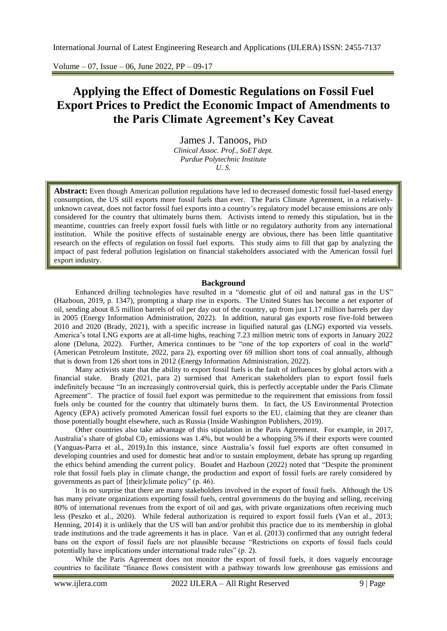Volume – 07, Issue – 06, June 2022, PP – 09-17

# **Applying the Effect of Domestic Regulations on Fossil Fuel Export Prices to Predict the Economic Impact of Amendments to the Paris Climate Agreement's Key Caveat**

[James J. Tanoos,](https://polytechnic.purdue.edu/profile/jtanoos) PhD *[Clinical Assoc. Prof.,](https://polytechnic.purdue.edu/schools/engineering-technology) [SoET dept.](https://polytechnic.purdue.edu/schools/engineering-technology) [Purdue Polytechnic Institute](https://polytechnic.purdue.edu/) U. S.*

**Abstract:** Even though American pollution regulations have led to decreased domestic fossil fuel-based energy consumption, the US still exports more fossil fuels than ever. The Paris Climate Agreement, in a relativelyunknown caveat, does not factor fossil fuel exports into a country"s regulatory model because emissions are only considered for the country that ultimately burns them. Activists intend to remedy this stipulation, but in the meantime, countries can freely export fossil fuels with little or no regulatory authority from any international institution. While the positive effects of sustainable energy are obvious, there has been little quantitative research on the effects of regulation on fossil fuel exports. This study aims to fill that gap by analyzing the impact of past federal pollution legislation on financial stakeholders associated with the American fossil fuel export industry.

## **Background**

Enhanced drilling technologies have resulted in a "domestic glut of oil and natural gas in the US" (Hazboun, 2019, p. 1347), prompting a sharp rise in exports. The United States has become a net exporter of oil, sending about 8.5 million barrels of oil per day out of the country, up from just 1.17 million barrels per day in 2005 (Energy Information Administration, 2022). In addition, natural gas exports rose five-fold between 2010 and 2020 (Brady, 2021), with a specific increase in liquified natural gas (LNG) exported via vessels. America's total LNG exports are at all-time highs, reaching 7.23 million metric tons of exports in January 2022 alone (Deluna, 2022). Further, America continues to be "one of the top exporters of coal in the world" (American Petroleum Institute, 2022, para 2), exporting over 69 million short tons of coal annually, although that is down from 126 short tons in 2012 (Energy Information Administration, 2022).

Many activists state that the ability to export fossil fuels is the fault of influences by global actors with a financial stake. Brady (2021, para 2) surmised that American stakeholders plan to export fossil fuels indefinitely because "In an increasingly controversial quirk, this is perfectly acceptable under the Paris Climate Agreement". The practice of fossil fuel export was permittedue to the requirement that emissions from fossil fuels only be counted for the country that ultimately burns them. In fact, the US Environmental Protection Agency (EPA) actively promoted American fossil fuel exports to the EU, claiming that they are cleaner than those potentially bought elsewhere, such as Russia (Inside Washington Publishers, 2019).

Other countries also take advantage of this stipulation in the Paris Agreement. For example, in 2017, Australia's share of global  $CO_2$  emissions was 1.4%, but would be a whopping 5% if their exports were counted (Yanguas-Parra et al., 2019).In this instance, since Australia"s fossil fuel exports are often consumed in developing countries and used for domestic heat and/or to sustain employment, debate has sprung up regarding the ethics behind amending the current policy. Boudet and Hazboun (2022) noted that "Despite the prominent role that fossil fuels play in climate change, the production and export of fossil fuels are rarely considered by governments as part of [their]climate policy" (p. 46).

It is no surprise that there are many stakeholders involved in the export of fossil fuels. Although the US has many private organizations exporting fossil fuels, central governments do the buying and selling, receiving 80% of international revenues from the export of oil and gas, with private organizations often receiving much less (Peszko et al., 2020). While federal authorization is required to export fossil fuels (Van et al., 2013; Henning, 2014) it is unlikely that the US will ban and/or prohibit this practice due to its membership in global trade institutions and the trade agreements it has in place. Van et al. (2013) confirmed that any outright federal bans on the export of fossil fuels are not plausible because "Restrictions on exports of fossil fuels could potentially have implications under international trade rules" (p. 2).

While the Paris Agreement does not monitor the export of fossil fuels, it does vaguely encourage countries to facilitate "finance flows consistent with a pathway towards low greenhouse gas emissions and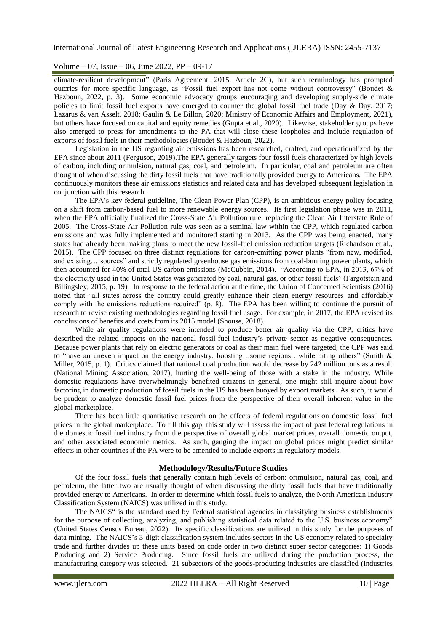## Volume – 07, Issue – 06, June 2022, PP – 09-17

climate-resilient development" (Paris Agreement, 2015, Article 2C), but such terminology has prompted outcries for more specific language, as "Fossil fuel export has not come without controversy" (Boudet & Hazboun, 2022, p. 3). Some economic advocacy groups encouraging and developing supply-side climate policies to limit fossil fuel exports have emerged to counter the global fossil fuel trade (Day & Day, 2017; Lazarus & van Asselt, 2018; Gaulin & Le Billon, 2020; Ministry of Economic Affairs and Employment, 2021), but others have focused on capital and equity remedies (Gupta et al., 2020). Likewise, stakeholder groups have also emerged to press for amendments to the PA that will close these loopholes and include regulation of exports of fossil fuels in their methodologies (Boudet & Hazboun, 2022).

Legislation in the US regarding air emissions has been researched, crafted, and operationalized by the EPA since about 2011 (Ferguson, 2019).The EPA generally targets four fossil fuels characterized by high levels of carbon, including orimulsion, natural gas, coal, and petroleum. In particular, coal and petroleum are often thought of when discussing the dirty fossil fuels that have traditionally provided energy to Americans. The EPA continuously monitors these air emissions statistics and related data and has developed subsequent legislation in conjunction with this research.

The EPA"s key federal guideline, The Clean Power Plan (CPP), is an ambitious energy policy focusing on a shift from carbon-based fuel to more renewable energy sources. Its first legislation phase was in 2011, when the EPA officially finalized the Cross-State Air Pollution rule, replacing the Clean Air Interstate Rule of 2005. The Cross-State Air Pollution rule was seen as a seminal law within the CPP, which regulated carbon emissions and was fully implemented and monitored starting in 2013. As the CPP was being enacted, many states had already been making plans to meet the new fossil-fuel emission reduction targets (Richardson et al., 2015). The CPP focused on three distinct regulations for carbon-emitting power plants "from new, modified, and existing… sources" and strictly regulated greenhouse gas emissions from coal-burning power plants, which then accounted for 40% of total US carbon emissions (McCubbin, 2014). "According to EPA, in 2013, 67% of the electricity used in the United States was generated by coal, natural gas, or other fossil fuels" (Fargotstein and Billingsley, 2015, p. 19). In response to the federal action at the time, the Union of Concerned Scientists (2016) noted that "all states across the country could greatly enhance their clean energy resources and affordably comply with the emissions reductions required" (p. 8). The EPA has been willing to continue the pursuit of research to revise existing methodologies regarding fossil fuel usage. For example, in 2017, the EPA revised its conclusions of benefits and costs from its 2015 model (Shouse, 2018).

While air quality regulations were intended to produce better air quality via the CPP, critics have described the related impacts on the national fossil-fuel industry"s private sector as negative consequences. Because power plants that rely on electric generators or coal as their main fuel were targeted, the CPP was said to "have an uneven impact on the energy industry, boosting…some regions…while biting others" (Smith & Miller, 2015, p. 1). Critics claimed that national coal production would decrease by 242 million tons as a result (National Mining Association, 2017), hurting the well-being of those with a stake in the industry. While domestic regulations have overwhelmingly benefited citizens in general, one might still inquire about how factoring in domestic production of fossil fuels in the US has been buoyed by export markets. As such, it would be prudent to analyze domestic fossil fuel prices from the perspective of their overall inherent value in the global marketplace.

There has been little quantitative research on the effects of federal regulations on domestic fossil fuel prices in the global marketplace. To fill this gap, this study will assess the impact of past federal regulations in the domestic fossil fuel industry from the perspective of overall global market prices, overall domestic output, and other associated economic metrics. As such, gauging the impact on global prices might predict similar effects in other countries if the PA were to be amended to include exports in regulatory models.

#### **Methodology/Results/Future Studies**

Of the four fossil fuels that generally contain high levels of carbon: orimulsion, natural gas, coal, and petroleum, the latter two are usually thought of when discussing the dirty fossil fuels that have traditionally provided energy to Americans. In order to determine which fossil fuels to analyze, the North American Industry Classification System (NAICS) was utilized in this study.

The NAICS" is the standard used by Federal statistical agencies in classifying business establishments for the purpose of collecting, analyzing, and publishing statistical data related to the U.S. business economy" (United States Census Bureau, 2022). Its specific classifications are utilized in this study for the purposes of data mining. The NAICS"s 3-digit classification system includes sectors in the US economy related to specialty trade and further divides up these units based on code order in two distinct super sector categories: 1) Goods Producing and 2) Service Producing. Since fossil fuels are utilized during the production process, the manufacturing category was selected. 21 subsectors of the goods-producing industries are classified (Industries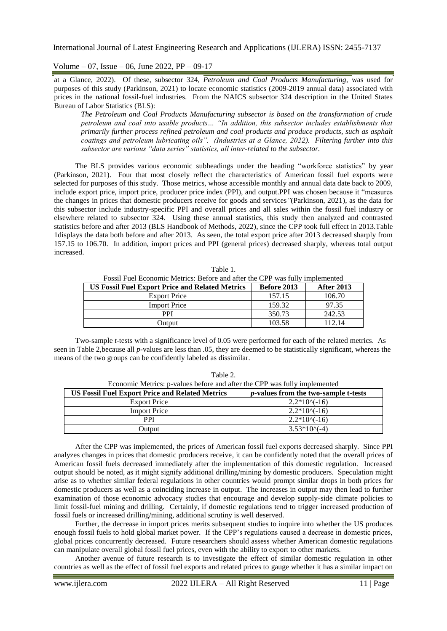Volume – 07, Issue – 06, June 2022, PP – 09-17

at a Glance, 2022). Of these, subsector 324, *Petroleum and Coal Products Manufacturing,* was used for purposes of this study (Parkinson, 2021) to locate economic statistics (2009-2019 annual data) associated with prices in the national fossil-fuel industries. From the NAICS subsector 324 description in the United States Bureau of Labor Statistics (BLS):

*The Petroleum and Coal Products Manufacturing subsector is based on the transformation of crude petroleum and coal into usable products… "In addition, this subsector includes establishments that primarily further process refined petroleum and coal products and produce products, such as asphalt coatings and petroleum lubricating oils". (Industries at a Glance, 2022). Filtering further into this subsector are various "data series" statistics, all inter-related to the subsector.*

The BLS provides various economic subheadings under the heading "workforce statistics" by year (Parkinson, 2021). Four that most closely reflect the characteristics of American fossil fuel exports were selected for purposes of this study. Those metrics, whose accessible monthly and annual data date back to 2009, include export price, import price, producer price index (PPI), and output.PPI was chosen because it "measures the changes in prices that domestic producers receive for goods and services*"*(Parkinson, 2021), as the data for this subsector include industry-specific PPI and overall prices and all sales within the fossil fuel industry or elsewhere related to subsector 324. Using these annual statistics, this study then analyzed and contrasted statistics before and after 2013 (BLS Handbook of Methods, 2022), since the CPP took full effect in 2013*.*Table 1displays the data both before and after 2013. As seen, the total export price after 2013 decreased sharply from 157.15 to 106.70. In addition, import prices and PPI (general prices) decreased sharply, whereas total output increased.

| Fossil Fuel Economic Metrics: Before and after the CPP was fully implemented |             |                   |  |  |
|------------------------------------------------------------------------------|-------------|-------------------|--|--|
| <b>US Fossil Fuel Export Price and Related Metrics</b>                       | Before 2013 | <b>After 2013</b> |  |  |
| <b>Export Price</b>                                                          | 157.15      | 106.70            |  |  |
| <b>Import Price</b>                                                          | 159.32      | 97.35             |  |  |
| <b>PPI</b>                                                                   | 350.73      | 242.53            |  |  |
| Output                                                                       | 103.58      | 112.14            |  |  |

Table 1.

Two-sample *t*-tests with a significance level of 0.05 were performed for each of the related metrics. As seen in Table 2,because all *p*-values are less than .05, they are deemed to be statistically significant, whereas the means of the two groups can be confidently labeled as dissimilar.

| $1$ and $2$ .<br>Economic Metrics: p-values before and after the CPP was fully implemented |                                              |  |  |  |
|--------------------------------------------------------------------------------------------|----------------------------------------------|--|--|--|
| <b>US Fossil Fuel Export Price and Related Metrics</b>                                     | <i>p</i> -values from the two-sample t-tests |  |  |  |
| <b>Export Price</b>                                                                        | $2.2*10(-16)$                                |  |  |  |
| <b>Import Price</b>                                                                        | $2.2*10(-16)$                                |  |  |  |
| <b>PPI</b>                                                                                 | $2.2*10(-16)$                                |  |  |  |
| Output                                                                                     | $3.53*10(-4)$                                |  |  |  |

 $Table 2.2$ 

After the CPP was implemented, the prices of American fossil fuel exports decreased sharply. Since PPI analyzes changes in prices that domestic producers receive, it can be confidently noted that the overall prices of American fossil fuels decreased immediately after the implementation of this domestic regulation. Increased output should be noted, as it might signify additional drilling/mining by domestic producers. Speculation might arise as to whether similar federal regulations in other countries would prompt similar drops in both prices for domestic producers as well as a coinciding increase in output. The increases in output may then lead to further examination of those economic advocacy studies that encourage and develop supply-side climate policies to limit fossil-fuel mining and drilling. Certainly, if domestic regulations tend to trigger increased production of fossil fuels or increased drilling/mining, additional scrutiny is well deserved.

Further, the decrease in import prices merits subsequent studies to inquire into whether the US produces enough fossil fuels to hold global market power. If the CPP"s regulations caused a decrease in domestic prices, global prices concurrently decreased. Future researchers should assess whether American domestic regulations can manipulate overall global fossil fuel prices, even with the ability to export to other markets.

Another avenue of future research is to investigate the effect of similar domestic regulation in other countries as well as the effect of fossil fuel exports and related prices to gauge whether it has a similar impact on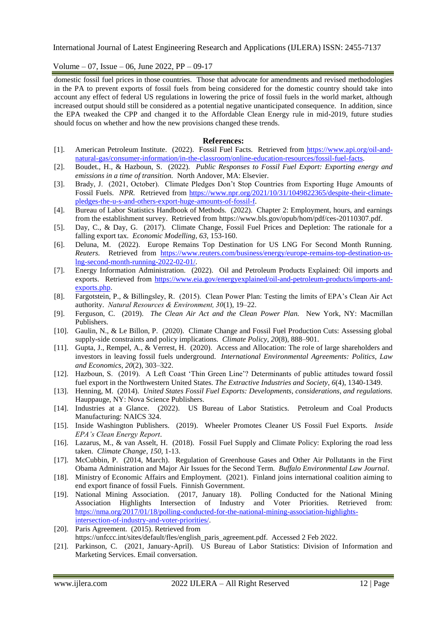Volume – 07, Issue – 06, June 2022, PP – 09-17

domestic fossil fuel prices in those countries. Those that advocate for amendments and revised methodologies in the PA to prevent exports of fossil fuels from being considered for the domestic country should take into account any effect of federal US regulations in lowering the price of fossil fuels in the world market, although increased output should still be considered as a potential negative unanticipated consequence. In addition, since the EPA tweaked the CPP and changed it to the Affordable Clean Energy rule in mid-2019, future studies should focus on whether and how the new provisions changed these trends.

#### **References:**

- [1]. American Petroleum Institute. (2022). Fossil Fuel Facts. Retrieved from [https://www.api.org/oil-and](https://www.api.org/oil-and-natural-gas/consumer-information/in-the-classroom/online-education-resources/fossil-fuel-facts)[natural-gas/consumer-information/in-the-classroom/online-education-resources/fossil-fuel-facts.](https://www.api.org/oil-and-natural-gas/consumer-information/in-the-classroom/online-education-resources/fossil-fuel-facts)
- [2]. Boudet., H., & Hazboun, S. (2022). *Public Responses to Fossil Fuel Export: Exporting energy and emissions in a time of transition.* North Andover, MA: Elsevier.
- [3]. Brady, J. (2021, October). Climate Pledges Don"t Stop Countries from Exporting Huge Amounts of Fossil Fuels. *NPR.* Retrieved from [https://www.npr.org/2021/10/31/1049822365/despite-their-climate](https://www.npr.org/2021/10/31/1049822365/despite-their-climate-pledges-the-u-s-and-others-export-huge-amounts-of-fossil-f)[pledges-the-u-s-and-others-export-huge-amounts-of-fossil-f.](https://www.npr.org/2021/10/31/1049822365/despite-their-climate-pledges-the-u-s-and-others-export-huge-amounts-of-fossil-f)
- [4]. Bureau of Labor Statistics Handbook of Methods. (2022). Chapter 2: Employment, hours, and earnings from the establishment survey. Retrieved from [https://www.bls.gov/opub/hom/pdf/ces-20110307.pdf.](https://www.bls.gov/opub/hom/pdf/ces-20110307.pdf)
- [5]. Day, C., & Day, G. (2017). Climate Change, Fossil Fuel Prices and Depletion: The rationale for a falling export tax. *Economic Modelling*, *63*, 153-160.
- [6]. Deluna, M. (2022). Europe Remains Top Destination for US LNG For Second Month Running. *Reuters.* Retrieved from [https://www.reuters.com/business/energy/europe-remains-top-destination-us](https://www.reuters.com/business/energy/europe-remains-top-destination-us-lng-second-month-running-2022-02-01/)[lng-second-month-running-2022-02-01/.](https://www.reuters.com/business/energy/europe-remains-top-destination-us-lng-second-month-running-2022-02-01/)
- [7]. Energy Information Administration. (2022). Oil and Petroleum Products Explained: Oil imports and exports. Retrieved from [https://www.eia.gov/energyexplained/oil-and-petroleum-products/imports-and](https://www.eia.gov/energyexplained/oil-and-petroleum-products/imports-and-exports.php)[exports.php.](https://www.eia.gov/energyexplained/oil-and-petroleum-products/imports-and-exports.php)
- [8]. Fargotstein, P., & Billingsley, R. (2015). Clean Power Plan: Testing the limits of EPA"s Clean Air Act authority. *Natural Resources & Environment, 30*(1), 19–22.
- [9]. Ferguson, C. (2019). *The Clean Air Act and the Clean Power Plan.* New York, NY: Macmillan Publishers.
- [10]. Gaulin, N., & Le Billon, P. (2020). Climate Change and Fossil Fuel Production Cuts: Assessing global supply-side constraints and policy implications. *Climate Policy*, *20*(8), 888–901.
- [11]. Gupta, J., Rempel, A., & Verrest, H. (2020). Access and Allocation: The role of large shareholders and investors in leaving fossil fuels underground. *International Environmental Agreements: Politics, Law and Economics*, *20*(2), 303–322.
- [12]. Hazboun, S. (2019). A Left Coast "Thin Green Line"? Determinants of public attitudes toward fossil fuel export in the Northwestern United States. *The Extractive Industries and Society*, *6*(4), 1340-1349.
- [13]. Henning, M. (2014). *United States Fossil Fuel Exports: Developments, considerations, and regulations.*  Hauppauge, NY: Nova Science Publishers.
- [14]. Industries at a Glance. (2022). US Bureau of Labor Statistics. Petroleum and Coal Products Manufacturing: NAICS 324.
- [15]. Inside Washington Publishers. (2019). Wheeler Promotes Cleaner US Fossil Fuel Exports. *Inside EPA's Clean Energy Report*.
- [16]. Lazarus, M., & van Asselt, H. (2018). Fossil Fuel Supply and Climate Policy: Exploring the road less taken. *Climate Change*, *150*, 1-13.
- [17]. McCubbin, P. (2014, March). Regulation of Greenhouse Gases and Other Air Pollutants in the First Obama Administration and Major Air Issues for the Second Term. *Buffalo Environmental Law Journal*.
- [18]. Ministry of Economic Affairs and Employment. (2021). Finland joins international coalition aiming to end export finance of fossil Fuels. Finnish Government.
- [19]. National Mining Association. (2017, January 18). Polling Conducted for the National Mining Association Highlights Intersection of Industry and Voter Priorities. Retrieved from: [https://nma.org/2017/01/18/polling-conducted-for-the-national-mining-association-highlights](https://nma.org/2017/01/18/polling-conducted-for-the-national-mining-association-highlights-intersection-of-industry-and-voter-priorities/)[intersection-of-industry-and-voter-priorities/.](https://nma.org/2017/01/18/polling-conducted-for-the-national-mining-association-highlights-intersection-of-industry-and-voter-priorities/)
- [20]. Paris Agreement. (2015). Retrieved from
- https://unfccc.int/sites/default/fles/english\_paris\_agreement.pdf. Accessed 2 Feb 2022.
- [21]. Parkinson, C. (2021, January-April). US Bureau of Labor Statistics: Division of Information and Marketing Services. Email conversation.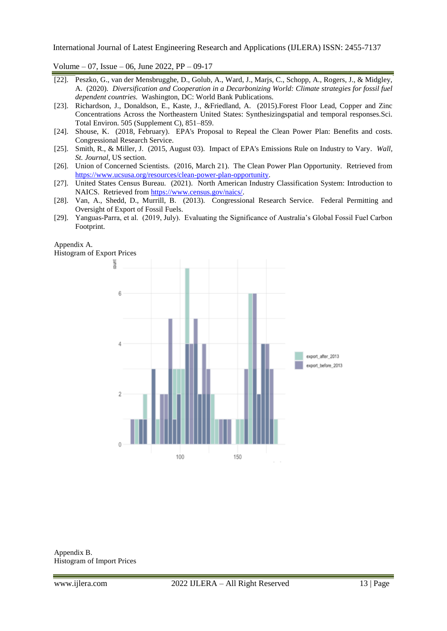Volume – 07, Issue – 06, June 2022, PP – 09-17

- [22]. Peszko, G., van der Mensbrugghe, D., Golub, A., Ward, J., Marjs, C., Schopp, A., Rogers, J., & Midgley, A. (2020). *Diversification and Cooperation in a Decarbonizing World: Climate strategies for fossil fuel dependent countries.* Washington, DC: World Bank Publications.
- [23]. Richardson, J., Donaldson, E., Kaste, J., &Friedland, A. (2015).Forest Floor Lead, Copper and Zinc Concentrations Across the Northeastern United States: Synthesizingspatial and temporal responses.Sci. Total Environ. 505 (Supplement C), 851–859.
- [24]. Shouse, K. (2018, February). EPA's Proposal to Repeal the Clean Power Plan: Benefits and costs. Congressional Research Service.
- [25]. Smith, R., & Miller, J. (2015, August 03). Impact of EPA's Emissions Rule on Industry to Vary*. Wall, St. Journal,* US section.
- [26]. Union of Concerned Scientists. (2016, March 21). The Clean Power Plan Opportunity. Retrieved from [https://www.ucsusa.org/resources/clean-power-plan-opportunity.](https://www.ucsusa.org/resources/clean-power-plan-opportunity)
- [27]. United States Census Bureau. (2021). North American Industry Classification System: Introduction to NAICS. Retrieved from [https://www.census.gov/naics/.](https://www.census.gov/naics/)
- [28]. Van, A., Shedd, D., Murrill, B. (2013). Congressional Research Service. Federal Permitting and Oversight of Export of Fossil Fuels.
- [29]. Yanguas-Parra, et al. (2019, July). Evaluating the Significance of Australia"s Global Fossil Fuel Carbon Footprint.



Appendix B. Histogram of Import Prices

Appendix A.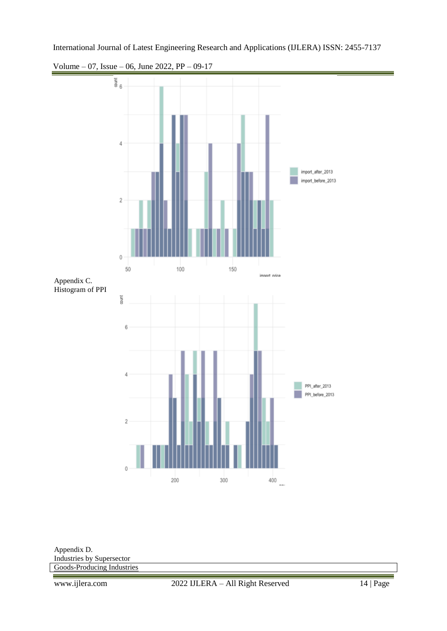Volume – 07, Issue – 06, June 2022, PP – 09-17



Appendix D. Industries by Supersector [Goods-Producing Industries](https://www.bls.gov/iag/tgs/iag06.htm)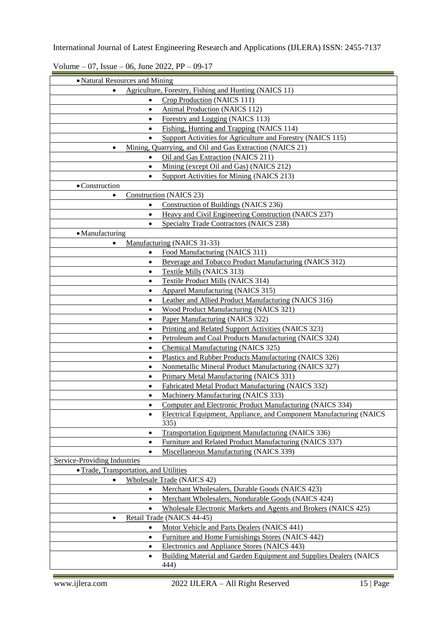Volume – 07, Issue – 06, June 2022, PP – 09-17

| • Natural Resources and Mining                        |                                                                             |  |  |
|-------------------------------------------------------|-----------------------------------------------------------------------------|--|--|
| Agriculture, Forestry, Fishing and Hunting (NAICS 11) |                                                                             |  |  |
| $\bullet$                                             | Crop Production (NAICS 111)                                                 |  |  |
| $\bullet$                                             | Animal Production (NAICS 112)                                               |  |  |
| $\bullet$                                             | Forestry and Logging (NAICS 113)                                            |  |  |
| $\bullet$                                             | Fishing, Hunting and Trapping (NAICS 114)                                   |  |  |
| $\bullet$                                             | Support Activities for Agriculture and Forestry (NAICS 115)                 |  |  |
| $\bullet$                                             | Mining, Quarrying, and Oil and Gas Extraction (NAICS 21)                    |  |  |
|                                                       | Oil and Gas Extraction (NAICS 211)                                          |  |  |
| $\bullet$                                             | Mining (except Oil and Gas) (NAICS 212)                                     |  |  |
| $\bullet$                                             | Support Activities for Mining (NAICS 213)                                   |  |  |
| • Construction                                        |                                                                             |  |  |
| $\bullet$                                             | <b>Construction</b> (NAICS 23)                                              |  |  |
| $\bullet$                                             | <b>Construction of Buildings (NAICS 236)</b>                                |  |  |
| $\bullet$                                             | Heavy and Civil Engineering Construction (NAICS 237)                        |  |  |
| $\bullet$                                             | <b>Specialty Trade Contractors (NAICS 238)</b>                              |  |  |
| • Manufacturing                                       |                                                                             |  |  |
|                                                       | Manufacturing (NAICS 31-33)                                                 |  |  |
| $\bullet$                                             | Food Manufacturing (NAICS 311)                                              |  |  |
| $\bullet$                                             | Beverage and Tobacco Product Manufacturing (NAICS 312)                      |  |  |
| $\bullet$                                             | Textile Mills (NAICS 313)                                                   |  |  |
| $\bullet$                                             | <b>Textile Product Mills (NAICS 314)</b>                                    |  |  |
| $\bullet$                                             | <b>Apparel Manufacturing (NAICS 315)</b>                                    |  |  |
| $\bullet$                                             | Leather and Allied Product Manufacturing (NAICS 316)                        |  |  |
| $\bullet$                                             | <b>Wood Product Manufacturing (NAICS 321)</b>                               |  |  |
| $\bullet$                                             | Paper Manufacturing (NAICS 322)                                             |  |  |
| $\bullet$                                             | Printing and Related Support Activities (NAICS 323)                         |  |  |
| $\bullet$                                             | Petroleum and Coal Products Manufacturing (NAICS 324)                       |  |  |
| $\bullet$                                             | <b>Chemical Manufacturing (NAICS 325)</b>                                   |  |  |
| $\bullet$                                             | Plastics and Rubber Products Manufacturing (NAICS 326)                      |  |  |
| $\bullet$                                             | Nonmetallic Mineral Product Manufacturing (NAICS 327)                       |  |  |
| $\bullet$                                             | Primary Metal Manufacturing (NAICS 331)                                     |  |  |
| $\bullet$                                             | Fabricated Metal Product Manufacturing (NAICS 332)                          |  |  |
| $\bullet$                                             | Machinery Manufacturing (NAICS 333)                                         |  |  |
| $\bullet$                                             | Computer and Electronic Product Manufacturing (NAICS 334)                   |  |  |
| $\bullet$                                             | Electrical Equipment, Appliance, and Component Manufacturing (NAICS<br>335) |  |  |
| $\bullet$                                             | Transportation Equipment Manufacturing (NAICS 336)                          |  |  |
| $\bullet$                                             | Furniture and Related Product Manufacturing (NAICS 337)                     |  |  |
| $\bullet$                                             | Miscellaneous Manufacturing (NAICS 339)                                     |  |  |
| <b>Service-Providing Industries</b>                   |                                                                             |  |  |
| • Trade, Transportation, and Utilities                |                                                                             |  |  |
| $\bullet$                                             | <b>Wholesale Trade (NAICS 42)</b>                                           |  |  |
| $\bullet$                                             | Merchant Wholesalers, Durable Goods (NAICS 423)                             |  |  |
| $\bullet$                                             | Merchant Wholesalers, Nondurable Goods (NAICS 424)                          |  |  |
| $\bullet$                                             | Wholesale Electronic Markets and Agents and Brokers (NAICS 425)             |  |  |
| $\bullet$                                             | Retail Trade (NAICS 44-45)                                                  |  |  |
| $\bullet$                                             | Motor Vehicle and Parts Dealers (NAICS 441)                                 |  |  |
| $\bullet$                                             | Furniture and Home Furnishings Stores (NAICS 442)                           |  |  |
| $\bullet$                                             | Electronics and Appliance Stores (NAICS 443)                                |  |  |
| $\bullet$                                             | Building Material and Garden Equipment and Supplies Dealers (NAICS<br>444)  |  |  |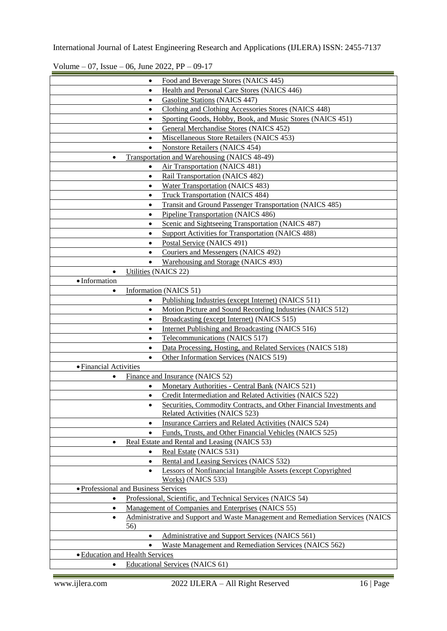Volume – 07, Issue – 06, June 2022, PP – 09-17

|                                      | $\bullet$            | Food and Beverage Stores (NAICS 445)                                            |
|--------------------------------------|----------------------|---------------------------------------------------------------------------------|
|                                      | $\bullet$            | Health and Personal Care Stores (NAICS 446)                                     |
|                                      | $\bullet$            | <b>Gasoline Stations (NAICS 447)</b>                                            |
|                                      | $\bullet$            | Clothing and Clothing Accessories Stores (NAICS 448)                            |
|                                      | $\bullet$            | Sporting Goods, Hobby, Book, and Music Stores (NAICS 451)                       |
|                                      | $\bullet$            | General Merchandise Stores (NAICS 452)                                          |
|                                      | $\bullet$            | Miscellaneous Store Retailers (NAICS 453)                                       |
|                                      |                      | <b>Nonstore Retailers (NAICS 454)</b>                                           |
| $\bullet$                            |                      | Transportation and Warehousing (NAICS 48-49)                                    |
|                                      |                      | <b>Air Transportation</b> (NAICS 481)                                           |
|                                      | $\bullet$            | Rail Transportation (NAICS 482)                                                 |
|                                      | $\bullet$            | <b>Water Transportation</b> (NAICS 483)                                         |
|                                      | $\bullet$            | <b>Truck Transportation (NAICS 484)</b>                                         |
|                                      | $\bullet$            | <b>Transit and Ground Passenger Transportation (NAICS 485)</b>                  |
|                                      | $\bullet$            | Pipeline Transportation (NAICS 486)                                             |
|                                      | $\bullet$            | Scenic and Sightseeing Transportation (NAICS 487)                               |
|                                      |                      | <b>Support Activities for Transportation (NAICS 488)</b>                        |
|                                      | $\bullet$            | Postal Service (NAICS 491)                                                      |
|                                      | $\bullet$            | Couriers and Messengers (NAICS 492)                                             |
|                                      | $\bullet$            | Warehousing and Storage (NAICS 493)                                             |
| $\bullet$                            | Utilities (NAICS 22) |                                                                                 |
| · Information                        |                      |                                                                                 |
|                                      |                      | Information (NAICS 51)                                                          |
|                                      |                      |                                                                                 |
|                                      |                      | Publishing Industries (except Internet) (NAICS 511)                             |
|                                      | $\bullet$            | Motion Picture and Sound Recording Industries (NAICS 512)                       |
|                                      | $\bullet$            | Broadcasting (except Internet) (NAICS 515)                                      |
|                                      | $\bullet$            | Internet Publishing and Broadcasting (NAICS 516)                                |
|                                      | $\bullet$            | Telecommunications (NAICS 517)                                                  |
|                                      | $\bullet$            | Data Processing, Hosting, and Related Services (NAICS 518)                      |
|                                      | $\bullet$            | Other Information Services (NAICS 519)                                          |
| • Financial Activities               |                      |                                                                                 |
|                                      |                      | Finance and Insurance (NAICS 52)                                                |
|                                      | $\bullet$            | Monetary Authorities - Central Bank (NAICS 521)                                 |
|                                      | $\bullet$            | Credit Intermediation and Related Activities (NAICS 522)                        |
|                                      | $\bullet$            | Securities, Commodity Contracts, and Other Financial Investments and            |
|                                      |                      | Related Activities (NAICS 523)                                                  |
|                                      | $\bullet$            | Insurance Carriers and Related Activities (NAICS 524)                           |
|                                      | $\bullet$            | Funds, Trusts, and Other Financial Vehicles (NAICS 525)                         |
| $\bullet$                            |                      | Real Estate and Rental and Leasing (NAICS 53)                                   |
|                                      | $\bullet$            | Real Estate (NAICS 531)                                                         |
|                                      | $\bullet$            | Rental and Leasing Services (NAICS 532)                                         |
|                                      | $\bullet$            | Lessors of Nonfinancial Intangible Assets (except Copyrighted                   |
|                                      |                      | Works) (NAICS 533)                                                              |
| · Professional and Business Services |                      |                                                                                 |
| $\bullet$                            |                      | Professional, Scientific, and Technical Services (NAICS 54)                     |
| $\bullet$                            |                      | Management of Companies and Enterprises (NAICS 55)                              |
| $\bullet$                            |                      | Administrative and Support and Waste Management and Remediation Services (NAICS |
|                                      | 56)                  |                                                                                 |
|                                      | $\bullet$            | Administrative and Support Services (NAICS 561)                                 |
|                                      | $\bullet$            | Waste Management and Remediation Services (NAICS 562)                           |
| • Education and Health Services      |                      |                                                                                 |
|                                      |                      | <b>Educational Services (NAICS 61)</b>                                          |